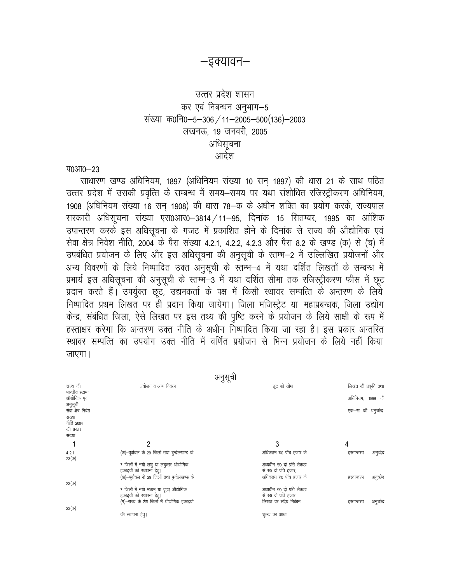#### —इक्यावन—

## उत्तर प्रदेश शासन कर एवं निबन्धन अनुभाग-5 संख्या क0नि0-5-306 / 11-2005-500(136)-2003 लखनऊ, 19 जनवरी, 2005 अधिसूचना आदेश

**TO3TO-23** 

साधारण खण्ड अधिनियम, 1897 (अधिनियम संख्या 10 सन् 1897) की धारा 21 के साथ पठित उत्तर प्रदेश में उसकी प्रवृत्ति के सम्बन्ध में समय-समय पर यथा संशोधित रजिस्ट्रीकरण अधिनियम, 1908 (अधिनियम संख्या 16 सन् 1908) की धारा 78-क के अधीन शक्ति का प्रयोग करके, राज्यपाल सरकारी अधिसूचना संख्या एस0आर0-3814 / 11-95, दिनांक 15 सितम्बर, 1995 का आंशिक उपान्तरण करके इस अधिसूचना के गजट में प्रकाशित होने के दिनांक से राज्य की औद्योगिक एवं सेवा क्षेत्र निवेश नीति, 2004 के पैरा संख्या 4.2.1, 4.2.2, 4.2.3 और पैरा 8.2 के खण्ड (क) से (च) में उपबंधित प्रयोजन के लिए और इस अधिसूचना की अनुसूची के स्तम्भ-2 में उल्लिखित प्रयोजनों और अन्य विवरणों के लिये निष्पादित उक्त अनुसूची के स्तम्भ-4 में यथा दर्शित लिखतों के सम्बन्ध में प्रभार्य इस अधिसूचना की अनुसूची के स्तम्भ–3 में यथा दर्शित सीमा तक रजिस्ट्रीकरण फीस में छूट प्रदान करते हैं। उपर्युक्त छूट, उद्यमकर्ता के पक्ष में किसी स्थावर सम्पत्ति के अन्तरण के लिये निष्पादित प्रथम लिखत पर ही प्रदान किया जायेगा। जिला मजिस्ट्रेट या महाप्रबन्धक, जिला उद्योग केन्द्र, संबंधित जिला, ऐसे लिखत पर इस तथ्य की पुष्टि करने के प्रयोजन के लिये साक्षी के रूप में हस्ताक्षर करेगा कि अन्तरण उक्त नीति के अधीन निष्पादित किया जा रहा है। इस प्रकार अन्तरित स्थावर सम्पत्ति का उपयोग उक्त नीति में वर्णित प्रयोजन से भिन्न प्रयोजन के लिये नहीं किया जाएगा।

| राज्य की<br>भारतीय स्टाम्प<br>औद्योगिक एवं<br>अनुसूची<br>सेवा क्षेत्र निवेश<br>संख्या<br>नीति 2004 | प्रयोजन व अन्य विवरण                                                                                               | छूट की सीमा                                                                | लिखत की प्रकृति तथा<br>अधिनियम, 1899 की<br>एक–ख की अनुच्छेद |
|----------------------------------------------------------------------------------------------------|--------------------------------------------------------------------------------------------------------------------|----------------------------------------------------------------------------|-------------------------------------------------------------|
| की प्रस्तर<br>संख्या                                                                               |                                                                                                                    |                                                                            |                                                             |
|                                                                                                    | 2                                                                                                                  | 3                                                                          | 4                                                           |
| 4.2.1<br>$23($ क)                                                                                  | (क)-पूर्वांचल के 29 जिलों तथा बुन्देलखण्ड के                                                                       | अधिकतम रु0 पॉच हजार के                                                     | हस्तान्तरण<br>अनुच्देद                                      |
|                                                                                                    | 7 जिलों में नयी लघु या लघुत्तर औद्योगिक<br>इकाइयों की स्थापना हेतु।                                                | अध्यधीन रु0 दो प्रति सैकडा<br>से रु0 दो प्रति हजार,                        |                                                             |
| $23($ क)                                                                                           | (ख)-पूर्वांचल के 29 जिलों तथा बुन्देलखण्ड के                                                                       | अधिकतम रु0 पॉच हजार के                                                     | अनुच्छेद<br>हस्तान्तरण                                      |
|                                                                                                    | 7 जिलों में नयी मध्यम या वृहत् औद्योगिक<br>इकाइयों की स्थापना हेतु।<br>(ग)-राज्य के शेष जिलों में औद्योगिक इकाइयों | अध्यधीन रु0 दो प्रति सैकडा<br>से रु0 दो प्रति हजार<br>लिखत पर संदेय निबंधन | अनुच्छेद<br>हस्तान्तरण                                      |
| $23($ क)                                                                                           | की स्थापना हेत्।                                                                                                   | शुल्क का आधा                                                               |                                                             |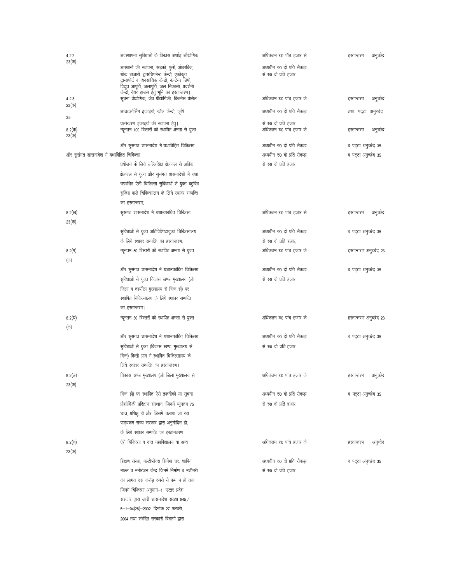| 4.2.2<br>$23($ क)      | अवस्थापना सुविधाओं के विकास अर्थात औद्योगिक                                                                                                                                                                                                              | अधिकतम रु0 पॉच हजार से                             | अनुच्छेद<br>हस्तान्तरण |
|------------------------|----------------------------------------------------------------------------------------------------------------------------------------------------------------------------------------------------------------------------------------------------------|----------------------------------------------------|------------------------|
|                        | आस्थानों की स्थापना, सड़कों, पुलों, ओवरब्रिज,<br>थोक बाजारों, ट्रांसशिपमेन्ट केन्द्रों, एकीकृत<br>ट्रान्सपोर्ट व व्यवसायिक केन्द्रों, कन्टेनर डिपो,<br>विद्युत आपूर्ति, जलापूर्ति, जल निकासी, प्रदर्शनी<br>केन्द्रों, वेयर हाउस हेतु भूमि का हस्तान्तरण। | अध्यधीन रु0 दो प्रति सैकडा<br>से रु0 दो प्रति हजार |                        |
| 4.23<br>$23($ क)       | सूचना प्रौद्योगिक, जैव प्रौद्योगिकी, बिजनेस प्रोसेस                                                                                                                                                                                                      | अधिकतम रु0 पांच हजार के                            | हस्तान्तरण<br>अनुच्छेद |
| 35                     | आउटसोर्सिंग इकाइयों, कॉल केन्द्रों, कृषि                                                                                                                                                                                                                 | अध्यधीन रु0 दो प्रति सैकडा                         | तथा पट्टा अनुच्छेद     |
| 8.2(क)<br>$23($ क)     | प्रसंस्करण इकाइयों की स्थापना हेतु।<br>न्यूनतम 100 बिस्तरों की स्थापित क्षमता से युक्त                                                                                                                                                                   | से रु0 दो प्रति हजार<br>अधिकतम रु0 पांच हजार के    | अनुच्छेद<br>हस्तान्तरण |
|                        | और सुसंगत शासनादेश में यथाविहित चिकित्सा                                                                                                                                                                                                                 | अध्यधीन रु0 दो प्रति सैकडा                         | व पट्टा अनुच्छेद 35    |
|                        | और सुसंगत शासनादेश में यथाविहित चिकित्सा                                                                                                                                                                                                                 | अध्यधीन रु0 दो प्रति सैकडा                         | व पट्टा अनुच्छेद 35    |
|                        | प्रयोजन के लिये उल्लिखित क्षेत्रफल से अधिक                                                                                                                                                                                                               | से रु0 दो प्रति हजार                               |                        |
|                        | क्षेत्रफल से युक्त और सुसंगत श्वासनादेशों में यथा                                                                                                                                                                                                        |                                                    |                        |
|                        | उपबंधित ऐसी चिकित्सा सुविधाओं से युक्त बहुविध                                                                                                                                                                                                            |                                                    |                        |
|                        | सुविधा वाले चिकित्सालय के लिये स्थावर सम्पत्ति                                                                                                                                                                                                           |                                                    |                        |
|                        | का हस्तान्तरण,                                                                                                                                                                                                                                           |                                                    |                        |
| 8.2 $($ ख)<br>$23($ क) | सुसंगत शासनादेश में यथाउपबंधित चिकित्सा                                                                                                                                                                                                                  | अधिकतम रु0 पांच हजार से                            | अनुच्छेद<br>हस्तान्तरण |
|                        | सुविधाओं से युक्त अतिविशिष्टायुक्त चिकित्सालय                                                                                                                                                                                                            | अध्यधीन रु0 दो प्रति सैकडा                         | व पट्टा अनुच्छेद 35    |
|                        | के लिये स्थावर सम्पत्ति का हस्तान्तरण,                                                                                                                                                                                                                   | से रु0 दो प्रति हजार.                              |                        |
| 8.2 $(T)$              | न्यूनतम 50 बिस्तरों की स्थापित क्षमता से युक्त                                                                                                                                                                                                           | अधिकतम रु0 पांच हजार के                            | हस्तान्तरण अनुच्छेद 23 |
| (क)                    |                                                                                                                                                                                                                                                          |                                                    |                        |
|                        | और सुसंगत शासनादेश में यथाउपबंधित चिकित्सा                                                                                                                                                                                                               | अध्यधीन रु0 दो प्रति सैकडा                         | व पट्टा अनुच्छेद 35    |
|                        | सुविधाओं से युक्त विकास खण्ड मुख्यालय (जो                                                                                                                                                                                                                | से रु0 दो प्रति हजार                               |                        |
|                        | जिला व तहसील मुख्यालय से भिन्न हो) पर                                                                                                                                                                                                                    |                                                    |                        |
|                        | स्थापित चिकित्सालय के लिये स्थावर सम्पत्ति                                                                                                                                                                                                               |                                                    |                        |
|                        | का हस्तान्तरण।                                                                                                                                                                                                                                           |                                                    |                        |
| 8.2 $($ घ)<br>(क)      | न्यूनतम 30 बिस्तरों की स्थापित क्षमता से युक्त                                                                                                                                                                                                           | अधिकतम रु0 पांच हजार के                            | हस्तान्तरण अनुच्छेद 23 |
|                        | और सुसंगत शासनादेश में यथाउपबंधित चिकित्सा                                                                                                                                                                                                               | अध्यधीन रु0 दो प्रति सैकडा                         | व पट्टा अनुच्छेद 35    |
|                        | सुविधाओं से युक्त (विकास खण्ड मुख्यालय से                                                                                                                                                                                                                | से रु0 दो प्रति हजार                               |                        |
|                        | भिन्न) किसी ग्राम में स्थापित चिकित्सालय के                                                                                                                                                                                                              |                                                    |                        |
|                        | लिये स्थावर सम्पत्ति का हस्तान्तरण।                                                                                                                                                                                                                      |                                                    |                        |
| 8.2(ड)<br>23(क)        | विकास खण्ड मुख्यालय (जो जिला मुख्यालय से                                                                                                                                                                                                                 | अधिकतम रु0 पांच हजार के                            | अनुच्छेद<br>हस्तान्तरण |
|                        | भिन्न हो) पर स्थापित ऐसे तकनीकी या सूचना                                                                                                                                                                                                                 | अध्यधीन रु0 दो प्रति सैकडा                         | व पट्टा अनुच्छेद 35    |
|                        | प्रौद्योगिकी प्रशिक्षण संस्थान, जिनमें न्यूनतम 75                                                                                                                                                                                                        | से रु0 दो प्रति हजार                               |                        |
|                        | छात्र, प्रशिक्षु हों और जिसमें चलाया जा रहा                                                                                                                                                                                                              |                                                    |                        |
|                        | पाठ्यक्रम राज्य सरकार द्वारा अनुमोदित हो,                                                                                                                                                                                                                |                                                    |                        |
|                        | के लिये स्थावर सम्पत्ति का हस्तानतरण                                                                                                                                                                                                                     |                                                    |                        |
| 8.2(च)                 | ऐसे चिकित्सा व दन्त महाविद्यालय या अन्य                                                                                                                                                                                                                  | अधिकतम रु0 पांच हजार के                            | अनुच्देद<br>हस्तान्तरण |
| $23(\overline{q})$     |                                                                                                                                                                                                                                                          |                                                    |                        |
|                        | शिक्षण संस्था, मल्टीप्लेक्स सिनेमा घर, शापिंग                                                                                                                                                                                                            | अध्यधीन रु0 दो प्रति सैकडा                         | व पट्टा अनुच्छेद 35    |
|                        | माल्स व मनोरंजन केन्द्र जिनमें निर्माण व मशीनरी                                                                                                                                                                                                          | से रु0 दो प्रति हजार                               |                        |
|                        | का लागत दस करोड रुपसे से कम न हो तथा                                                                                                                                                                                                                     |                                                    |                        |
|                        | जिनमें चिकित्सा अनुभाग-1, उत्तर प्रदेश                                                                                                                                                                                                                   |                                                    |                        |
|                        | सरकार द्वारा जारी शासनादेश संख्या 845 /                                                                                                                                                                                                                  |                                                    |                        |
|                        | 5-1-04(28)-2002, दिनांक 27 फरवरी,                                                                                                                                                                                                                        |                                                    |                        |
|                        |                                                                                                                                                                                                                                                          |                                                    |                        |

2004 तथा संबंद्दित सरकारी विभागों द्वारा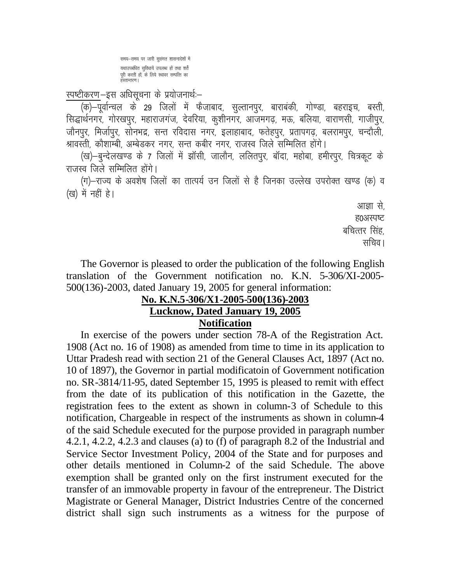समय-समय पर जारी सूसंगत शासनादेशों में यथाउपबंधित सुविधायें उपलब्ध हों तथा शर्तें पूरी करती हों, के लिये स्थावर सम्पत्ति का

## स्पष्टीकरण-इस अधिसूचना के प्रयोजनार्थ:-

सिद्धार्थनगर, गोरखपुर, महाराजगंज, देवरिया, कुशीनगर, आजमगढ़, मऊ, बलिया, वाराणसी, गाजीपुर, जौनपुर, मिर्जापुर, सोनभद्र, सन्त रविदास नगर, इलाहाबाद, फतेहपुर, प्रतापगढ़, बलरामपुर, चन्दौली, श्रावस्ती, कौशाम्बी, अम्बेडकर नगर, सन्त कबीर नगर, राजस्व जिले सम्मिलित होंगे।

(ख)-बुन्देलखण्ड के 7 जिलों में झॉसी, जालौन, ललितपुर, बॉदा, महोबा, हमीरपुर, चित्रकूट के राजस्व जिले सम्मिलित होंगे।

(ग)-राज्य के अवशेष जिलों का तात्पर्य उन जिलों से है जिनका उल्लेख उपरोक्त खण्ड (क) व (ख) में नहीं है।

> आज्ञा से. ह0अस्पष्ट बचित्तर सिंह, सचिव ।

The Governor is pleased to order the publication of the following English translation of the Government notification no. K.N. 5-306/XI-2005-500(136)-2003, dated January 19, 2005 for general information:

## No. K.N.5-306/X1-2005-500(136)-2003 **Lucknow, Dated January 19, 2005**

# **Notification**

In exercise of the powers under section 78-A of the Registration Act. 1908 (Act no. 16 of 1908) as amended from time to time in its application to Uttar Pradesh read with section 21 of the General Clauses Act, 1897 (Act no. 10 of 1897), the Governor in partial modificatoin of Government notification no. SR-3814/11-95, dated September 15, 1995 is pleased to remit with effect from the date of its publication of this notification in the Gazette, the registration fees to the extent as shown in column-3 of Schedule to this notification, Chargeable in respect of the instruments as shown in column-4 of the said Schedule executed for the purpose provided in paragraph number 4.2.1, 4.2.2, 4.2.3 and clauses (a) to (f) of paragraph 8.2 of the Industrial and Service Sector Investment Policy, 2004 of the State and for purposes and other details mentioned in Column-2 of the said Schedule. The above exemption shall be granted only on the first instrument executed for the transfer of an immovable property in favour of the entrepreneur. The District Magistrate or General Manager, District Industries Centre of the concerned district shall sign such instruments as a witness for the purpose of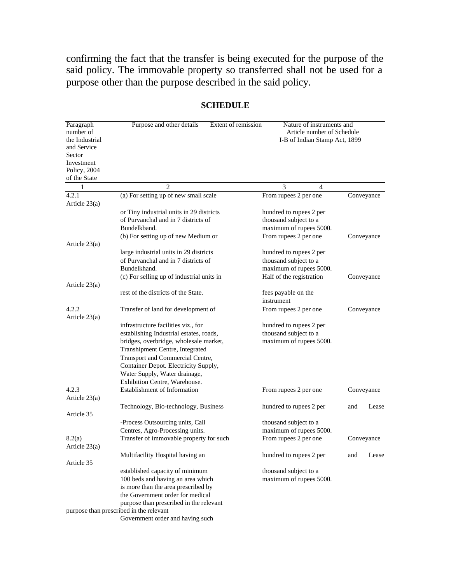confirming the fact that the transfer is being executed for the purpose of the said policy. The immovable property so transferred shall not be used for a purpose other than the purpose described in the said policy.

| Paragraph<br>number of<br>the Industrial<br>and Service<br>Sector<br>Investment<br>Policy, 2004<br>of the State | Purpose and other details<br>Extent of remission | Nature of instruments and<br>Article number of Schedule<br>I-B of Indian Stamp Act, 1899 |              |
|-----------------------------------------------------------------------------------------------------------------|--------------------------------------------------|------------------------------------------------------------------------------------------|--------------|
| 1                                                                                                               | $\overline{c}$                                   | 3<br>4                                                                                   |              |
| 4.2.1<br>Article $23(a)$                                                                                        | (a) For setting up of new small scale            | From rupees 2 per one                                                                    | Conveyance   |
|                                                                                                                 | or Tiny industrial units in 29 districts         | hundred to rupees 2 per                                                                  |              |
|                                                                                                                 | of Purvanchal and in 7 districts of              | thousand subject to a                                                                    |              |
|                                                                                                                 | Bundelkband.                                     | maximum of rupees 5000.                                                                  |              |
|                                                                                                                 | (b) For setting up of new Medium or              | From rupees 2 per one                                                                    | Conveyance   |
| Article $23(a)$                                                                                                 |                                                  |                                                                                          |              |
|                                                                                                                 | large industrial units in 29 districts           | hundred to rupees 2 per                                                                  |              |
|                                                                                                                 | of Purvanchal and in 7 districts of              | thousand subject to a                                                                    |              |
|                                                                                                                 | Bundelkhand.                                     | maximum of rupees 5000.                                                                  |              |
|                                                                                                                 | (c) For selling up of industrial units in        | Half of the registration                                                                 | Conveyance   |
| Article $23(a)$                                                                                                 |                                                  |                                                                                          |              |
|                                                                                                                 | rest of the districts of the State.              | fees payable on the                                                                      |              |
|                                                                                                                 |                                                  | instrument                                                                               |              |
| 4.2.2<br>Article $23(a)$                                                                                        | Transfer of land for development of              | From rupees 2 per one                                                                    | Conveyance   |
|                                                                                                                 | infrastructure facilities viz., for              | hundred to rupees 2 per                                                                  |              |
|                                                                                                                 | establishing Industrial estates, roads,          | thousand subject to a                                                                    |              |
|                                                                                                                 | bridges, overbridge, wholesale market,           | maximum of rupees 5000.                                                                  |              |
|                                                                                                                 | Transhipment Centre, Integrated                  |                                                                                          |              |
|                                                                                                                 | Transport and Commercial Centre,                 |                                                                                          |              |
|                                                                                                                 | Container Depot. Electricity Supply,             |                                                                                          |              |
|                                                                                                                 | Water Supply, Water drainage,                    |                                                                                          |              |
|                                                                                                                 | Exhibition Centre, Warehouse.                    |                                                                                          |              |
| 4.2.3                                                                                                           | <b>Establishment of Information</b>              | From rupees 2 per one                                                                    | Conveyance   |
| Article $23(a)$                                                                                                 |                                                  |                                                                                          |              |
|                                                                                                                 | Technology, Bio-technology, Business             | hundred to rupees 2 per                                                                  | and<br>Lease |
| Article 35                                                                                                      |                                                  |                                                                                          |              |
|                                                                                                                 | -Process Outsourcing units, Call                 | thousand subject to a                                                                    |              |
|                                                                                                                 | Centres, Agro-Processing units.                  | maximum of rupees 5000.                                                                  |              |
| 8.2(a)                                                                                                          | Transfer of immovable property for such          | From rupees 2 per one                                                                    | Conveyance   |
| Article $23(a)$                                                                                                 |                                                  |                                                                                          |              |
| Article 35                                                                                                      | Multifacility Hospital having an                 | hundred to rupees 2 per                                                                  | and<br>Lease |
|                                                                                                                 | established capacity of minimum                  | thousand subject to a                                                                    |              |
|                                                                                                                 | 100 beds and having an area which                | maximum of rupees 5000.                                                                  |              |
|                                                                                                                 | is more than the area prescribed by              |                                                                                          |              |
|                                                                                                                 | the Government order for medical                 |                                                                                          |              |
|                                                                                                                 | purpose than prescribed in the relevant          |                                                                                          |              |
|                                                                                                                 | purpose than prescribed in the relevant          |                                                                                          |              |
|                                                                                                                 | Government order and having such                 |                                                                                          |              |

## **SCHEDULE**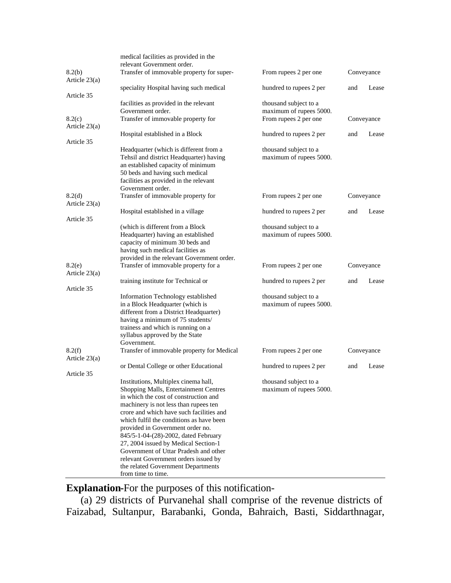|                         | medical facilities as provided in the                       |                                                  |     |            |
|-------------------------|-------------------------------------------------------------|--------------------------------------------------|-----|------------|
|                         | relevant Government order.                                  |                                                  |     |            |
| 8.2(b)<br>Article 23(a) | Transfer of immovable property for super-                   | From rupees 2 per one                            |     | Conveyance |
|                         | speciality Hospital having such medical                     | hundred to rupees 2 per                          | and | Lease      |
| Article 35              |                                                             |                                                  |     |            |
|                         | facilities as provided in the relevant<br>Government order. | thousand subject to a<br>maximum of rupees 5000. |     |            |
| 8.2(c)                  | Transfer of immovable property for                          | From rupees 2 per one                            |     | Conveyance |
| Article $23(a)$         |                                                             |                                                  |     |            |
|                         | Hospital established in a Block                             | hundred to rupees 2 per                          | and | Lease      |
| Article 35              |                                                             |                                                  |     |            |
|                         | Headquarter (which is different from a                      | thousand subject to a                            |     |            |
|                         | Tehsil and district Headquarter) having                     | maximum of rupees 5000.                          |     |            |
|                         | an established capacity of minimum                          |                                                  |     |            |
|                         | 50 beds and having such medical                             |                                                  |     |            |
|                         | facilities as provided in the relevant                      |                                                  |     |            |
|                         | Government order.                                           |                                                  |     |            |
| 8.2(d)                  | Transfer of immovable property for                          | From rupees 2 per one                            |     | Conveyance |
| Article 23(a)           |                                                             |                                                  |     |            |
|                         | Hospital established in a village                           | hundred to rupees 2 per                          | and | Lease      |
| Article 35              |                                                             |                                                  |     |            |
|                         | (which is different from a Block                            | thousand subject to a                            |     |            |
|                         | Headquarter) having an established                          | maximum of rupees 5000.                          |     |            |
|                         | capacity of minimum 30 beds and                             |                                                  |     |            |
|                         | having such medical facilities as                           |                                                  |     |            |
|                         | provided in the relevant Government order.                  |                                                  |     |            |
| 8.2(e)                  | Transfer of immovable property for a                        | From rupees 2 per one                            |     | Conveyance |
| Article $23(a)$         |                                                             |                                                  |     |            |
|                         | training institute for Technical or                         | hundred to rupees 2 per                          | and | Lease      |
| Article 35              |                                                             |                                                  |     |            |
|                         | Information Technology established                          | thousand subject to a                            |     |            |
|                         | in a Block Headquarter (which is                            | maximum of rupees 5000.                          |     |            |
|                         | different from a District Headquarter)                      |                                                  |     |            |
|                         | having a minimum of 75 students/                            |                                                  |     |            |
|                         | trainess and which is running on a                          |                                                  |     |            |
|                         | syllabus approved by the State                              |                                                  |     |            |
|                         | Government.                                                 |                                                  |     |            |
| 8.2(f)                  | Transfer of immovable property for Medical                  | From rupees 2 per one                            |     | Conveyance |
| Article 23(a)           |                                                             |                                                  |     |            |
|                         | or Dental College or other Educational                      | hundred to rupees 2 per                          | and | Lease      |
| Article 35              |                                                             |                                                  |     |            |
|                         | Institutions, Multiplex cinema hall,                        | thousand subject to a                            |     |            |
|                         | Shopping Malls, Entertainment Centres                       | maximum of rupees 5000.                          |     |            |
|                         | in which the cost of construction and                       |                                                  |     |            |
|                         | machinery is not less than rupees ten                       |                                                  |     |            |
|                         | crore and which have such facilities and                    |                                                  |     |            |
|                         | which fulfil the conditions as have been                    |                                                  |     |            |
|                         | provided in Government order no.                            |                                                  |     |            |
|                         | 845/5-1-04-(28)-2002, dated February                        |                                                  |     |            |
|                         | 27, 2004 issued by Medical Section-1                        |                                                  |     |            |
|                         | Government of Uttar Pradesh and other                       |                                                  |     |            |
|                         | relevant Government orders issued by                        |                                                  |     |            |
|                         | the related Government Departments                          |                                                  |     |            |
|                         | from time to time.                                          |                                                  |     |            |

**Explanation-**For the purposes of this notification-

(a) 29 districts of Purvanehal shall comprise of the revenue districts of Faizabad, Sultanpur, Barabanki, Gonda, Bahraich, Basti, Siddarthnagar,